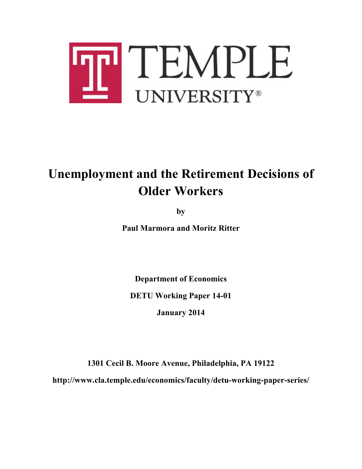

# **Unemployment and the Retirement Decisions of Older Workers**

**by**

**Paul Marmora and Moritz Ritter**

**Department of Economics**

**DETU Working Paper 14-01**

**January 2014**

**1301 Cecil B. Moore Avenue, Philadelphia, PA 19122 http://www.cla.temple.edu/economics/faculty/detu-working-paper-series/**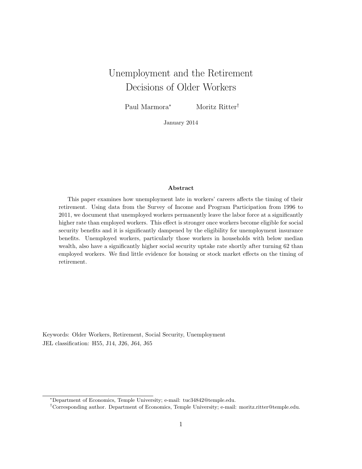# Unemployment and the Retirement Decisions of Older Workers

Paul Marmora<sup>∗</sup> Moritz Ritter†

January 2014

#### Abstract

This paper examines how unemployment late in workers' careers affects the timing of their retirement. Using data from the Survey of Income and Program Participation from 1996 to 2011, we document that unemployed workers permanently leave the labor force at a significantly higher rate than employed workers. This effect is stronger once workers become eligible for social security benefits and it is significantly dampened by the eligibility for unemployment insurance benefits. Unemployed workers, particularly those workers in households with below median wealth, also have a significantly higher social security uptake rate shortly after turning 62 than employed workers. We find little evidence for housing or stock market effects on the timing of retirement.

Keywords: Older Workers, Retirement, Social Security, Unemployment JEL classification: H55, J14, J26, J64, J65

<sup>∗</sup>Department of Economics, Temple University; e-mail: tuc34842@temple.edu.

<sup>†</sup>Corresponding author. Department of Economics, Temple University; e-mail: moritz.ritter@temple.edu.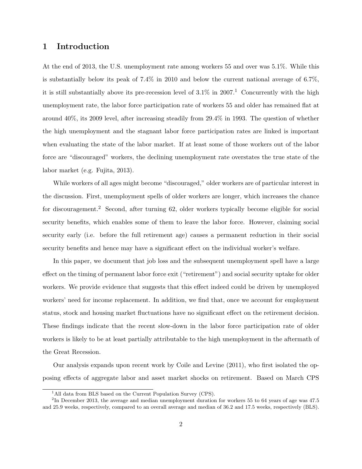# 1 Introduction

At the end of 2013, the U.S. unemployment rate among workers 55 and over was 5.1%. While this is substantially below its peak of 7.4% in 2010 and below the current national average of 6.7%, it is still substantially above its pre-recession level of  $3.1\%$  in  $2007<sup>1</sup>$  Concurrently with the high unemployment rate, the labor force participation rate of workers 55 and older has remained flat at around 40%, its 2009 level, after increasing steadily from 29.4% in 1993. The question of whether the high unemployment and the stagnant labor force participation rates are linked is important when evaluating the state of the labor market. If at least some of those workers out of the labor force are "discouraged" workers, the declining unemployment rate overstates the true state of the labor market (e.g. Fujita, 2013).

While workers of all ages might become "discouraged," older workers are of particular interest in the discussion. First, unemployment spells of older workers are longer, which increases the chance for discouragement.<sup>2</sup> Second, after turning 62, older workers typically become eligible for social security benefits, which enables some of them to leave the labor force. However, claiming social security early (i.e. before the full retirement age) causes a permanent reduction in their social security benefits and hence may have a significant effect on the individual worker's welfare.

In this paper, we document that job loss and the subsequent unemployment spell have a large effect on the timing of permanent labor force exit ("retirement") and social security uptake for older workers. We provide evidence that suggests that this effect indeed could be driven by unemployed workers' need for income replacement. In addition, we find that, once we account for employment status, stock and housing market fluctuations have no significant effect on the retirement decision. These findings indicate that the recent slow-down in the labor force participation rate of older workers is likely to be at least partially attributable to the high unemployment in the aftermath of the Great Recession.

Our analysis expands upon recent work by Coile and Levine (2011), who first isolated the opposing effects of aggregate labor and asset market shocks on retirement. Based on March CPS

<sup>&</sup>lt;sup>1</sup>All data from BLS based on the Current Population Survey (CPS).

<sup>&</sup>lt;sup>2</sup>In December 2013, the average and median unemployment duration for workers 55 to 64 years of age was 47.5 and 25.9 weeks, respectively, compared to an overall average and median of 36.2 and 17.5 weeks, respectively (BLS).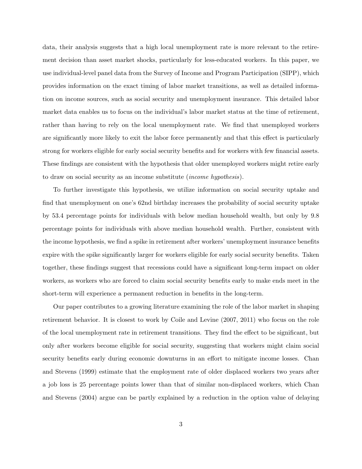data, their analysis suggests that a high local unemployment rate is more relevant to the retirement decision than asset market shocks, particularly for less-educated workers. In this paper, we use individual-level panel data from the Survey of Income and Program Participation (SIPP), which provides information on the exact timing of labor market transitions, as well as detailed information on income sources, such as social security and unemployment insurance. This detailed labor market data enables us to focus on the individual's labor market status at the time of retirement, rather than having to rely on the local unemployment rate. We find that unemployed workers are significantly more likely to exit the labor force permanently and that this effect is particularly strong for workers eligible for early social security benefits and for workers with few financial assets. These findings are consistent with the hypothesis that older unemployed workers might retire early to draw on social security as an income substitute (income hypothesis).

To further investigate this hypothesis, we utilize information on social security uptake and find that unemployment on one's 62nd birthday increases the probability of social security uptake by 53.4 percentage points for individuals with below median household wealth, but only by 9.8 percentage points for individuals with above median household wealth. Further, consistent with the income hypothesis, we find a spike in retirement after workers' unemployment insurance benefits expire with the spike significantly larger for workers eligible for early social security benefits. Taken together, these findings suggest that recessions could have a significant long-term impact on older workers, as workers who are forced to claim social security benefits early to make ends meet in the short-term will experience a permanent reduction in benefits in the long-term.

Our paper contributes to a growing literature examining the role of the labor market in shaping retirement behavior. It is closest to work by Coile and Levine (2007, 2011) who focus on the role of the local unemployment rate in retirement transitions. They find the effect to be significant, but only after workers become eligible for social security, suggesting that workers might claim social security benefits early during economic downturns in an effort to mitigate income losses. Chan and Stevens (1999) estimate that the employment rate of older displaced workers two years after a job loss is 25 percentage points lower than that of similar non-displaced workers, which Chan and Stevens (2004) argue can be partly explained by a reduction in the option value of delaying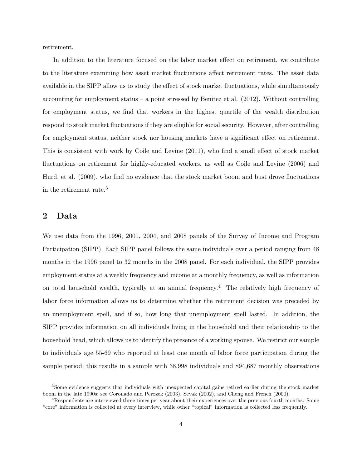retirement.

In addition to the literature focused on the labor market effect on retirement, we contribute to the literature examining how asset market fluctuations affect retirement rates. The asset data available in the SIPP allow us to study the effect of stock market fluctuations, while simultaneously accounting for employment status – a point stressed by Benitez et al. (2012). Without controlling for employment status, we find that workers in the highest quartile of the wealth distribution respond to stock market fluctuations if they are eligible for social security. However, after controlling for employment status, neither stock nor housing markets have a significant effect on retirement. This is consistent with work by Coile and Levine (2011), who find a small effect of stock market fluctuations on retirement for highly-educated workers, as well as Coile and Levine (2006) and Hurd, et al. (2009), who find no evidence that the stock market boom and bust drove fluctuations in the retirement rate.<sup>3</sup>

## 2 Data

We use data from the 1996, 2001, 2004, and 2008 panels of the Survey of Income and Program Participation (SIPP). Each SIPP panel follows the same individuals over a period ranging from 48 months in the 1996 panel to 32 months in the 2008 panel. For each individual, the SIPP provides employment status at a weekly frequency and income at a monthly frequency, as well as information on total household wealth, typically at an annual frequency.<sup>4</sup> The relatively high frequency of labor force information allows us to determine whether the retirement decision was preceded by an unemployment spell, and if so, how long that unemployment spell lasted. In addition, the SIPP provides information on all individuals living in the household and their relationship to the household head, which allows us to identify the presence of a working spouse. We restrict our sample to individuals age 55-69 who reported at least one month of labor force participation during the sample period; this results in a sample with 38,998 individuals and 894,687 monthly observations

<sup>&</sup>lt;sup>3</sup>Some evidence suggests that individuals with unexpected capital gains retired earlier during the stock market boom in the late 1990s; see Coronado and Perozek (2003), Sevak (2002), and Cheng and French (2000).

<sup>&</sup>lt;sup>4</sup>Respondents are interviewed three times per year about their experiences over the previous fourth months. Some "core" information is collected at every interview, while other "topical" information is collected less frequently.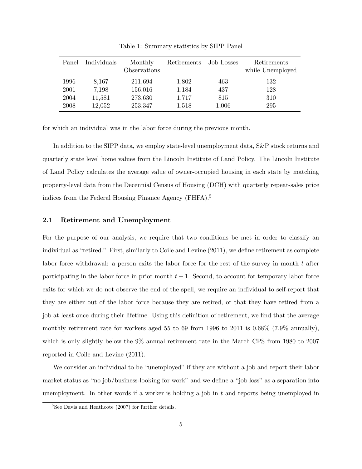| Panel | Individuals | Monthly      | Retirements | Job Losses | Retirements      |
|-------|-------------|--------------|-------------|------------|------------------|
|       |             | Observations |             |            | while Unemployed |
| 1996  | 8,167       | 211,694      | 1,802       | 463        | 132              |
| 2001  | 7,198       | 156,016      | 1,184       | 437        | 128              |
| 2004  | 11,581      | 273,630      | 1,717       | 815        | 310              |
| 2008  | 12,052      | 253,347      | 1,518       | 1,006      | 295              |

Table 1: Summary statistics by SIPP Panel

for which an individual was in the labor force during the previous month.

In addition to the SIPP data, we employ state-level unemployment data, S&P stock returns and quarterly state level home values from the Lincoln Institute of Land Policy. The Lincoln Institute of Land Policy calculates the average value of owner-occupied housing in each state by matching property-level data from the Decennial Census of Housing (DCH) with quarterly repeat-sales price indices from the Federal Housing Finance Agency (FHFA).<sup>5</sup>

#### 2.1 Retirement and Unemployment

For the purpose of our analysis, we require that two conditions be met in order to classify an individual as "retired." First, similarly to Coile and Levine (2011), we define retirement as complete labor force withdrawal: a person exits the labor force for the rest of the survey in month  $t$  after participating in the labor force in prior month  $t-1$ . Second, to account for temporary labor force exits for which we do not observe the end of the spell, we require an individual to self-report that they are either out of the labor force because they are retired, or that they have retired from a job at least once during their lifetime. Using this definition of retirement, we find that the average monthly retirement rate for workers aged 55 to 69 from 1996 to 2011 is 0.68% (7.9% annually), which is only slightly below the 9% annual retirement rate in the March CPS from 1980 to 2007 reported in Coile and Levine (2011).

We consider an individual to be "unemployed" if they are without a job and report their labor market status as "no job/business-looking for work" and we define a "job loss" as a separation into unemployment. In other words if a worker is holding a job in  $t$  and reports being unemployed in

 ${}^{5}$ See Davis and Heathcote (2007) for further details.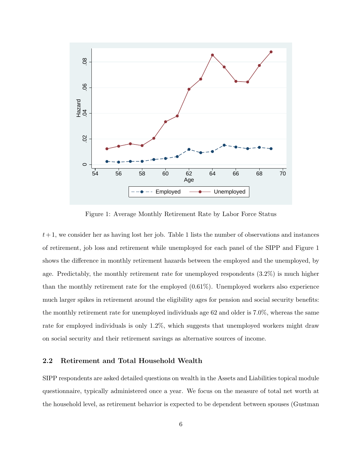

Figure 1: Average Monthly Retirement Rate by Labor Force Status

 $t+1$ , we consider her as having lost her job. Table 1 lists the number of observations and instances of retirement, job loss and retirement while unemployed for each panel of the SIPP and Figure 1 shows the difference in monthly retirement hazards between the employed and the unemployed, by age. Predictably, the monthly retirement rate for unemployed respondents (3.2%) is much higher than the monthly retirement rate for the employed (0.61%). Unemployed workers also experience much larger spikes in retirement around the eligibility ages for pension and social security benefits: the monthly retirement rate for unemployed individuals age 62 and older is 7.0%, whereas the same rate for employed individuals is only 1.2%, which suggests that unemployed workers might draw on social security and their retirement savings as alternative sources of income.

#### 2.2 Retirement and Total Household Wealth

SIPP respondents are asked detailed questions on wealth in the Assets and Liabilities topical module questionnaire, typically administered once a year. We focus on the measure of total net worth at the household level, as retirement behavior is expected to be dependent between spouses (Gustman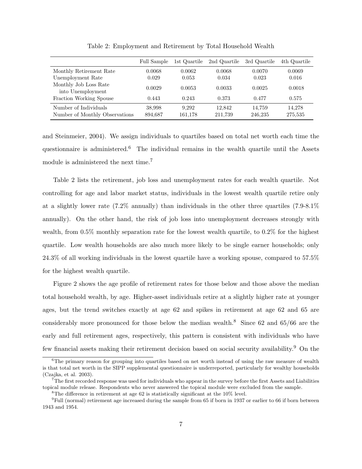|                                                         | Full Sample       | 1st Quartile     | 2nd Quartile      | 3rd Quartile      | 4th Quartile      |
|---------------------------------------------------------|-------------------|------------------|-------------------|-------------------|-------------------|
| Monthly Retirement Rate                                 | 0.0068            | 0.0062           | 0.0068            | 0.0070            | 0.0069            |
| Unemployment Rate                                       | 0.029             | 0.053            | 0.034             | 0.023             | 0.016             |
| Monthly Job Loss Rate<br>into Unemployment              | 0.0029            | 0.0053           | 0.0033            | 0.0025            | 0.0018            |
| Fraction Working Spouse                                 | 0.443             | 0.243            | 0.373             | 0.477             | 0.575             |
| Number of Individuals<br>Number of Monthly Observations | 38,998<br>894,687 | 9.292<br>161.178 | 12.842<br>211.739 | 14,759<br>246.235 | 14.278<br>275,535 |

Table 2: Employment and Retirement by Total Household Wealth

and Steinmeier, 2004). We assign individuals to quartiles based on total net worth each time the questionnaire is administered.<sup>6</sup> The individual remains in the wealth quartile until the Assets module is administered the next time.<sup>7</sup>

Table 2 lists the retirement, job loss and unemployment rates for each wealth quartile. Not controlling for age and labor market status, individuals in the lowest wealth quartile retire only at a slightly lower rate (7.2% annually) than individuals in the other three quartiles (7.9-8.1% annually). On the other hand, the risk of job loss into unemployment decreases strongly with wealth, from 0.5% monthly separation rate for the lowest wealth quartile, to 0.2% for the highest quartile. Low wealth households are also much more likely to be single earner households; only 24.3% of all working individuals in the lowest quartile have a working spouse, compared to 57.5% for the highest wealth quartile.

Figure 2 shows the age profile of retirement rates for those below and those above the median total household wealth, by age. Higher-asset individuals retire at a slightly higher rate at younger ages, but the trend switches exactly at age 62 and spikes in retirement at age 62 and 65 are considerably more pronounced for those below the median wealth.<sup>8</sup> Since 62 and 65/66 are the early and full retirement ages, respectively, this pattern is consistent with individuals who have few financial assets making their retirement decision based on social security availability.<sup>9</sup> On the

 ${}^{6}$ The primary reason for grouping into quartiles based on net worth instead of using the raw measure of wealth is that total net worth in the SIPP supplemental questionnaire is underreported, particularly for wealthy households (Czajka, et al. 2003).

 $7$ The first recorded response was used for individuals who appear in the survey before the first Assets and Liabilities topical module release. Respondents who never answered the topical module were excluded from the sample.

 ${}^{8}{\rm The}$  difference in retirement at age 62 is statistically significant at the 10% level.

 $9$ Full (normal) retirement age increased during the sample from 65 if born in 1937 or earlier to 66 if born between 1943 and 1954.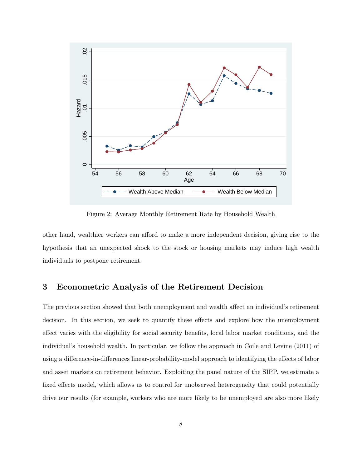

Figure 2: Average Monthly Retirement Rate by Household Wealth

other hand, wealthier workers can afford to make a more independent decision, giving rise to the hypothesis that an unexpected shock to the stock or housing markets may induce high wealth individuals to postpone retirement.

### 3 Econometric Analysis of the Retirement Decision

The previous section showed that both unemployment and wealth affect an individual's retirement decision. In this section, we seek to quantify these effects and explore how the unemployment effect varies with the eligibility for social security benefits, local labor market conditions, and the individual's household wealth. In particular, we follow the approach in Coile and Levine (2011) of using a difference-in-differences linear-probability-model approach to identifying the effects of labor and asset markets on retirement behavior. Exploiting the panel nature of the SIPP, we estimate a fixed effects model, which allows us to control for unobserved heterogeneity that could potentially drive our results (for example, workers who are more likely to be unemployed are also more likely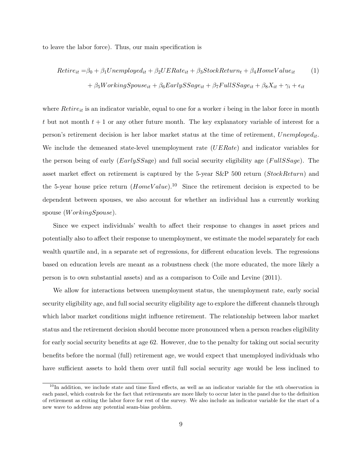to leave the labor force). Thus, our main specification is

$$
Retire_{it} = \beta_0 + \beta_1 Unemployed_{it} + \beta_2 UERate_{it} + \beta_3 StockReturn_t + \beta_4 HomeValue_{it}
$$
  
+ 
$$
\beta_5 WorkingSpouse_{it} + \beta_6 EarlySSage_{it} + \beta_7 FullSSage_{it} + \beta_8 X_{it} + \gamma_i + \epsilon_{it}
$$

where  $Retire_{it}$  is an indicator variable, equal to one for a worker i being in the labor force in month t but not month  $t + 1$  or any other future month. The key explanatory variable of interest for a person's retirement decision is her labor market status at the time of retirement,  $Unemployed_{it}$ . We include the demeaned state-level unemployment rate (UERate) and indicator variables for the person being of early  $(EarlySSage)$  and full social security eligibility age  $(FullSSage)$ . The asset market effect on retirement is captured by the 5-year  $S\&P$  500 return (StockReturn) and the 5-year house price return  $(HomeValue)$ .<sup>10</sup> Since the retirement decision is expected to be dependent between spouses, we also account for whether an individual has a currently working spouse (*WorkingSpouse*).

Since we expect individuals' wealth to affect their response to changes in asset prices and potentially also to affect their response to unemployment, we estimate the model separately for each wealth quartile and, in a separate set of regressions, for different education levels. The regressions based on education levels are meant as a robustness check (the more educated, the more likely a person is to own substantial assets) and as a comparison to Coile and Levine (2011).

We allow for interactions between unemployment status, the unemployment rate, early social security eligibility age, and full social security eligibility age to explore the different channels through which labor market conditions might influence retirement. The relationship between labor market status and the retirement decision should become more pronounced when a person reaches eligibility for early social security benefits at age 62. However, due to the penalty for taking out social security benefits before the normal (full) retirement age, we would expect that unemployed individuals who have sufficient assets to hold them over until full social security age would be less inclined to

 $10$ In addition, we include state and time fixed effects, as well as an indicator variable for the nth observation in each panel, which controls for the fact that retirements are more likely to occur later in the panel due to the definition of retirement as exiting the labor force for rest of the survey. We also include an indicator variable for the start of a new wave to address any potential seam-bias problem.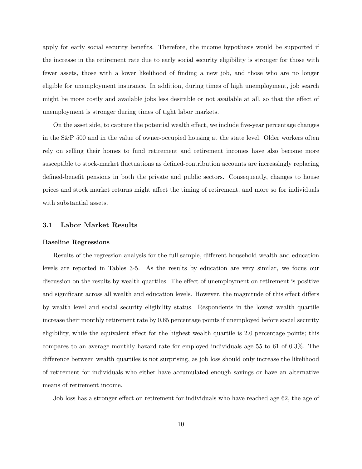apply for early social security benefits. Therefore, the income hypothesis would be supported if the increase in the retirement rate due to early social security eligibility is stronger for those with fewer assets, those with a lower likelihood of finding a new job, and those who are no longer eligible for unemployment insurance. In addition, during times of high unemployment, job search might be more costly and available jobs less desirable or not available at all, so that the effect of unemployment is stronger during times of tight labor markets.

On the asset side, to capture the potential wealth effect, we include five-year percentage changes in the S&P 500 and in the value of owner-occupied housing at the state level. Older workers often rely on selling their homes to fund retirement and retirement incomes have also become more susceptible to stock-market fluctuations as defined-contribution accounts are increasingly replacing defined-benefit pensions in both the private and public sectors. Consequently, changes to house prices and stock market returns might affect the timing of retirement, and more so for individuals with substantial assets.

#### 3.1 Labor Market Results

#### Baseline Regressions

Results of the regression analysis for the full sample, different household wealth and education levels are reported in Tables 3-5. As the results by education are very similar, we focus our discussion on the results by wealth quartiles. The effect of unemployment on retirement is positive and significant across all wealth and education levels. However, the magnitude of this effect differs by wealth level and social security eligibility status. Respondents in the lowest wealth quartile increase their monthly retirement rate by 0.65 percentage points if unemployed before social security eligibility, while the equivalent effect for the highest wealth quartile is 2.0 percentage points; this compares to an average monthly hazard rate for employed individuals age 55 to 61 of 0.3%. The difference between wealth quartiles is not surprising, as job loss should only increase the likelihood of retirement for individuals who either have accumulated enough savings or have an alternative means of retirement income.

Job loss has a stronger effect on retirement for individuals who have reached age 62, the age of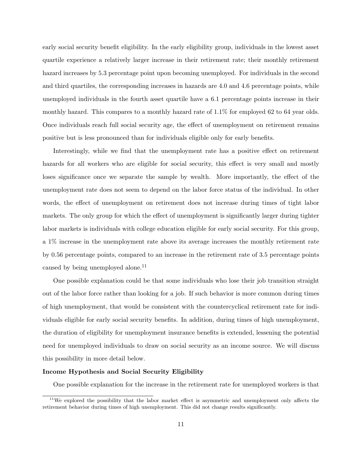early social security benefit eligibility. In the early eligibility group, individuals in the lowest asset quartile experience a relatively larger increase in their retirement rate; their monthly retirement hazard increases by 5.3 percentage point upon becoming unemployed. For individuals in the second and third quartiles, the corresponding increases in hazards are 4.0 and 4.6 percentage points, while unemployed individuals in the fourth asset quartile have a 6.1 percentage points increase in their monthly hazard. This compares to a monthly hazard rate of 1.1% for employed 62 to 64 year olds. Once individuals reach full social security age, the effect of unemployment on retirement remains positive but is less pronounced than for individuals eligible only for early benefits.

Interestingly, while we find that the unemployment rate has a positive effect on retirement hazards for all workers who are eligible for social security, this effect is very small and mostly loses significance once we separate the sample by wealth. More importantly, the effect of the unemployment rate does not seem to depend on the labor force status of the individual. In other words, the effect of unemployment on retirement does not increase during times of tight labor markets. The only group for which the effect of unemployment is significantly larger during tighter labor markets is individuals with college education eligible for early social security. For this group, a 1% increase in the unemployment rate above its average increases the monthly retirement rate by 0.56 percentage points, compared to an increase in the retirement rate of 3.5 percentage points caused by being unemployed alone.<sup>11</sup>

One possible explanation could be that some individuals who lose their job transition straight out of the labor force rather than looking for a job. If such behavior is more common during times of high unemployment, that would be consistent with the countercyclical retirement rate for individuals eligible for early social security benefits. In addition, during times of high unemployment, the duration of eligibility for unemployment insurance benefits is extended, lessening the potential need for unemployed individuals to draw on social security as an income source. We will discuss this possibility in more detail below.

#### Income Hypothesis and Social Security Eligibility

One possible explanation for the increase in the retirement rate for unemployed workers is that

<sup>&</sup>lt;sup>11</sup>We explored the possibility that the labor market effect is asymmetric and unemployment only affects the retirement behavior during times of high unemployment. This did not change results significantly.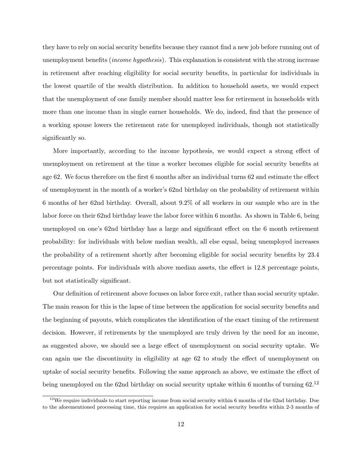they have to rely on social security benefits because they cannot find a new job before running out of unemployment benefits (income hypothesis). This explanation is consistent with the strong increase in retirement after reaching eligibility for social security benefits, in particular for individuals in the lowest quartile of the wealth distribution. In addition to household assets, we would expect that the unemployment of one family member should matter less for retirement in households with more than one income than in single earner households. We do, indeed, find that the presence of a working spouse lowers the retirement rate for unemployed individuals, though not statistically significantly so.

More importantly, according to the income hypothesis, we would expect a strong effect of unemployment on retirement at the time a worker becomes eligible for social security benefits at age 62. We focus therefore on the first 6 months after an individual turns 62 and estimate the effect of unemployment in the month of a worker's 62nd birthday on the probability of retirement within 6 months of her 62nd birthday. Overall, about 9.2% of all workers in our sample who are in the labor force on their 62nd birthday leave the labor force within 6 months. As shown in Table 6, being unemployed on one's 62nd birthday has a large and significant effect on the 6 month retirement probability: for individuals with below median wealth, all else equal, being unemployed increases the probability of a retirement shortly after becoming eligible for social security benefits by 23.4 percentage points. For individuals with above median assets, the effect is 12.8 percentage points, but not statistically significant.

Our definition of retirement above focuses on labor force exit, rather than social security uptake. The main reason for this is the lapse of time between the application for social security benefits and the beginning of payouts, which complicates the identification of the exact timing of the retirement decision. However, if retirements by the unemployed are truly driven by the need for an income, as suggested above, we should see a large effect of unemployment on social security uptake. We can again use the discontinuity in eligibility at age 62 to study the effect of unemployment on uptake of social security benefits. Following the same approach as above, we estimate the effect of being unemployed on the 62nd birthday on social security uptake within 6 months of turning 62.<sup>12</sup>

 $12$  We require individuals to start reporting income from social security within 6 months of the 62nd birthday. Due to the aforementioned processing time, this requires an application for social security benefits within 2-3 months of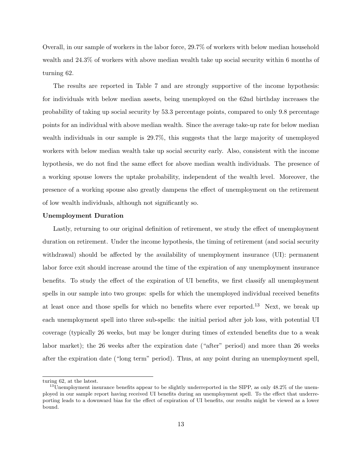Overall, in our sample of workers in the labor force, 29.7% of workers with below median household wealth and 24.3% of workers with above median wealth take up social security within 6 months of turning 62.

The results are reported in Table 7 and are strongly supportive of the income hypothesis: for individuals with below median assets, being unemployed on the 62nd birthday increases the probability of taking up social security by 53.3 percentage points, compared to only 9.8 percentage points for an individual with above median wealth. Since the average take-up rate for below median wealth individuals in our sample is 29.7%, this suggests that the large majority of unemployed workers with below median wealth take up social security early. Also, consistent with the income hypothesis, we do not find the same effect for above median wealth individuals. The presence of a working spouse lowers the uptake probability, independent of the wealth level. Moreover, the presence of a working spouse also greatly dampens the effect of unemployment on the retirement of low wealth individuals, although not significantly so.

#### Unemployment Duration

Lastly, returning to our original definition of retirement, we study the effect of unemployment duration on retirement. Under the income hypothesis, the timing of retirement (and social security withdrawal) should be affected by the availability of unemployment insurance (UI): permanent labor force exit should increase around the time of the expiration of any unemployment insurance benefits. To study the effect of the expiration of UI benefits, we first classify all unemployment spells in our sample into two groups: spells for which the unemployed individual received benefits at least once and those spells for which no benefits where ever reported.<sup>13</sup> Next, we break up each unemployment spell into three sub-spells: the initial period after job loss, with potential UI coverage (typically 26 weeks, but may be longer during times of extended benefits due to a weak labor market); the 26 weeks after the expiration date ("after" period) and more than 26 weeks after the expiration date ("long term" period). Thus, at any point during an unemployment spell,

turing 62, at the latest.

 $^{13}$ Unemployment insurance benefits appear to be slightly underreported in the SIPP, as only 48.2% of the unemployed in our sample report having received UI benefits during an unemployment spell. To the effect that underreporting leads to a downward bias for the effect of expiration of UI benefits, our results might be viewed as a lower bound.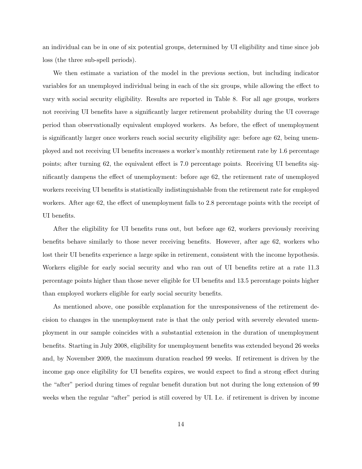an individual can be in one of six potential groups, determined by UI eligibility and time since job loss (the three sub-spell periods).

We then estimate a variation of the model in the previous section, but including indicator variables for an unemployed individual being in each of the six groups, while allowing the effect to vary with social security eligibility. Results are reported in Table 8. For all age groups, workers not receiving UI benefits have a significantly larger retirement probability during the UI coverage period than observationally equivalent employed workers. As before, the effect of unemployment is significantly larger once workers reach social security eligibility age: before age 62, being unemployed and not receiving UI benefits increases a worker's monthly retirement rate by 1.6 percentage points; after turning 62, the equivalent effect is 7.0 percentage points. Receiving UI benefits significantly dampens the effect of unemployment: before age 62, the retirement rate of unemployed workers receiving UI benefits is statistically indistinguishable from the retirement rate for employed workers. After age 62, the effect of unemployment falls to 2.8 percentage points with the receipt of UI benefits.

After the eligibility for UI benefits runs out, but before age 62, workers previously receiving benefits behave similarly to those never receiving benefits. However, after age 62, workers who lost their UI benefits experience a large spike in retirement, consistent with the income hypothesis. Workers eligible for early social security and who ran out of UI benefits retire at a rate 11.3 percentage points higher than those never eligible for UI benefits and 13.5 percentage points higher than employed workers eligible for early social security benefits.

As mentioned above, one possible explanation for the unresponsiveness of the retirement decision to changes in the unemployment rate is that the only period with severely elevated unemployment in our sample coincides with a substantial extension in the duration of unemployment benefits. Starting in July 2008, eligibility for unemployment benefits was extended beyond 26 weeks and, by November 2009, the maximum duration reached 99 weeks. If retirement is driven by the income gap once eligibility for UI benefits expires, we would expect to find a strong effect during the "after" period during times of regular benefit duration but not during the long extension of 99 weeks when the regular "after" period is still covered by UI. I.e. if retirement is driven by income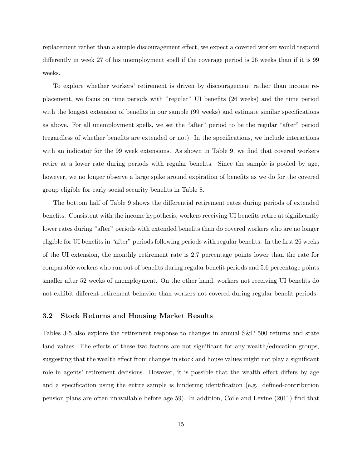replacement rather than a simple discouragement effect, we expect a covered worker would respond differently in week 27 of his unemployment spell if the coverage period is 26 weeks than if it is 99 weeks.

To explore whether workers' retirement is driven by discouragement rather than income replacement, we focus on time periods with "regular" UI benefits (26 weeks) and the time period with the longest extension of benefits in our sample (99 weeks) and estimate similar specifications as above. For all unemployment spells, we set the "after" period to be the regular "after" period (regardless of whether benefits are extended or not). In the specifications, we include interactions with an indicator for the 99 week extensions. As shown in Table 9, we find that covered workers retire at a lower rate during periods with regular benefits. Since the sample is pooled by age, however, we no longer observe a large spike around expiration of benefits as we do for the covered group eligible for early social security benefits in Table 8.

The bottom half of Table 9 shows the differential retirement rates during periods of extended benefits. Consistent with the income hypothesis, workers receiving UI benefits retire at significantly lower rates during "after" periods with extended benefits than do covered workers who are no longer eligible for UI benefits in "after" periods following periods with regular benefits. In the first 26 weeks of the UI extension, the monthly retirement rate is 2.7 percentage points lower than the rate for comparable workers who run out of benefits during regular benefit periods and 5.6 percentage points smaller after 52 weeks of unemployment. On the other hand, workers not receiving UI benefits do not exhibit different retirement behavior than workers not covered during regular benefit periods.

#### 3.2 Stock Returns and Housing Market Results

Tables 3-5 also explore the retirement response to changes in annual S&P 500 returns and state land values. The effects of these two factors are not significant for any wealth/education groups, suggesting that the wealth effect from changes in stock and house values might not play a significant role in agents' retirement decisions. However, it is possible that the wealth effect differs by age and a specification using the entire sample is hindering identification (e.g. defined-contribution pension plans are often unavailable before age 59). In addition, Coile and Levine (2011) find that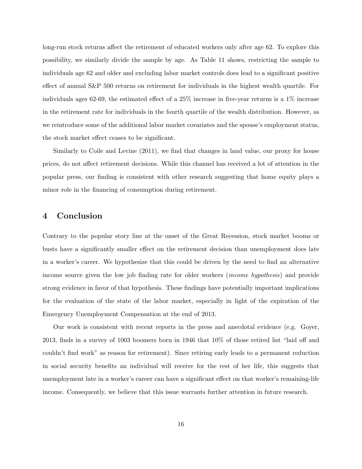long-run stock returns affect the retirement of educated workers only after age 62. To explore this possibility, we similarly divide the sample by age. As Table 11 shows, restricting the sample to individuals age 62 and older and excluding labor market controls does lead to a significant positive effect of annual S&P 500 returns on retirement for individuals in the highest wealth quartile. For individuals ages 62-69, the estimated effect of a 25% increase in five-year returns is a 1% increase in the retirement rate for individuals in the fourth quartile of the wealth distribution. However, as we reintroduce some of the additional labor market covariates and the spouse's employment status, the stock market effect ceases to be significant.

Similarly to Coile and Levine (2011), we find that changes in land value, our proxy for house prices, do not affect retirement decisions. While this channel has received a lot of attention in the popular press, our finding is consistent with other research suggesting that home equity plays a minor role in the financing of consumption during retirement.

# 4 Conclusion

Contrary to the popular story line at the onset of the Great Recession, stock market booms or busts have a significantly smaller effect on the retirement decision than unemployment does late in a worker's career. We hypothesize that this could be driven by the need to find an alternative income source given the low job finding rate for older workers (income hypothesis) and provide strong evidence in favor of that hypothesis. These findings have potentially important implications for the evaluation of the state of the labor market, especially in light of the expiration of the Emergency Unemployment Compensation at the end of 2013.

Our work is consistent with recent reports in the press and anecdotal evidence (e.g. Goyer, 2013, finds in a survey of 1003 boomers born in 1946 that 10% of those retired list "laid off and couldn't find work" as reason for retirement). Since retiring early leads to a permanent reduction in social security benefits an individual will receive for the rest of her life, this suggests that unemployment late in a worker's career can have a significant effect on that worker's remaining-life income. Consequently, we believe that this issue warrants further attention in future research.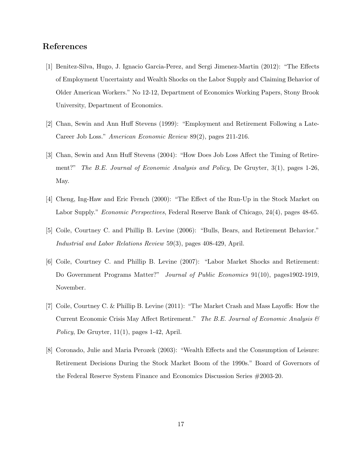# References

- [1] Benitez-Silva, Hugo, J. Ignacio Garcia-Perez, and Sergi Jimenez-Martin (2012): "The Effects of Employment Uncertainty and Wealth Shocks on the Labor Supply and Claiming Behavior of Older American Workers." No 12-12, Department of Economics Working Papers, Stony Brook University, Department of Economics.
- [2] Chan, Sewin and Ann Huff Stevens (1999): "Employment and Retirement Following a Late-Career Job Loss." American Economic Review 89(2), pages 211-216.
- [3] Chan, Sewin and Ann Huff Stevens (2004): "How Does Job Loss Affect the Timing of Retirement?" The B.E. Journal of Economic Analysis and Policy, De Gruyter, 3(1), pages 1-26, May.
- [4] Cheng, Ing-Haw and Eric French (2000): "The Effect of the Run-Up in the Stock Market on Labor Supply." Economic Perspectives, Federal Reserve Bank of Chicago, 24(4), pages 48-65.
- [5] Coile, Courtney C. and Phillip B. Levine (2006): "Bulls, Bears, and Retirement Behavior." Industrial and Labor Relations Review 59(3), pages 408-429, April.
- [6] Coile, Courtney C. and Phillip B. Levine (2007): "Labor Market Shocks and Retirement: Do Government Programs Matter?" Journal of Public Economics 91(10), pages1902-1919, November.
- [7] Coile, Courtney C. & Phillip B. Levine (2011): "The Market Crash and Mass Layoffs: How the Current Economic Crisis May Affect Retirement." The B.E. Journal of Economic Analysis  $\mathcal C$ Policy, De Gruyter, 11(1), pages 1-42, April.
- [8] Coronado, Julie and Maria Perozek (2003): "Wealth Effects and the Consumption of Leisure: Retirement Decisions During the Stock Market Boom of the 1990s." Board of Governors of the Federal Reserve System Finance and Economics Discussion Series #2003-20.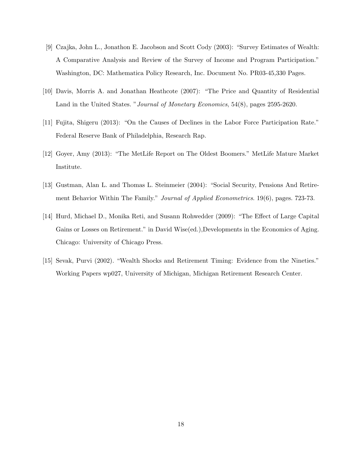- [9] Czajka, John L., Jonathon E. Jacobson and Scott Cody (2003): "Survey Estimates of Wealth: A Comparative Analysis and Review of the Survey of Income and Program Participation." Washington, DC: Mathematica Policy Research, Inc. Document No. PR03-45,330 Pages.
- [10] Davis, Morris A. and Jonathan Heathcote (2007): "The Price and Quantity of Residential Land in the United States. "Journal of Monetary Economics, 54(8), pages 2595-2620.
- [11] Fujita, Shigeru (2013): "On the Causes of Declines in the Labor Force Participation Rate." Federal Reserve Bank of Philadelphia, Research Rap.
- [12] Goyer, Amy (2013): "The MetLife Report on The Oldest Boomers." MetLife Mature Market Institute.
- [13] Gustman, Alan L. and Thomas L. Steinmeier (2004): "Social Security, Pensions And Retirement Behavior Within The Family." *Journal of Applied Econometrics*. 19(6), pages. 723-73.
- [14] Hurd, Michael D., Monika Reti, and Susann Rohwedder (2009): "The Effect of Large Capital Gains or Losses on Retirement." in David Wise(ed.),Developments in the Economics of Aging. Chicago: University of Chicago Press.
- [15] Sevak, Purvi (2002). "Wealth Shocks and Retirement Timing: Evidence from the Nineties." Working Papers wp027, University of Michigan, Michigan Retirement Research Center.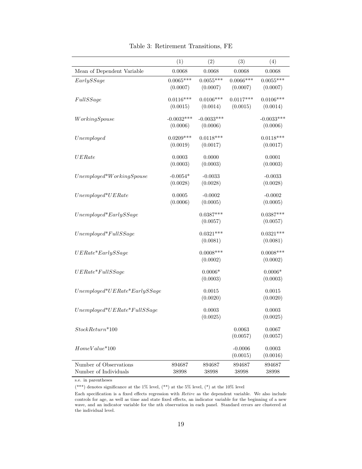|                                | (1)                     | (2)                     | (3)                     | (4)                     |
|--------------------------------|-------------------------|-------------------------|-------------------------|-------------------------|
| Mean of Dependent Variable     | 0.0068                  | 0.0068                  | 0.0068                  | 0.0068                  |
|                                | $0.0065***$             | $0.0055***$             | $0.0066***$             | $0.0055***$             |
| EarlySSage                     | (0.0007)                | (0.0007)                | (0.0007)                | (0.0007)                |
| FullSSage                      | $0.0116***$<br>(0.0015) | $0.0106***$<br>(0.0014) | $0.0117***$<br>(0.0015) | $0.0106***$<br>(0.0014) |
|                                |                         |                         |                         |                         |
| WorkingSpouse                  | $-0.0032***$            | $-0.0033***$            |                         | $-0.0033***$            |
|                                | (0.0006)                | (0.0006)                |                         | (0.0006)                |
| Unemployed                     | $0.0209***$             | $0.0118***$             |                         | $0.0118***$             |
|                                | (0.0019)                | (0.0017)                |                         | (0.0017)                |
| UERate                         | 0.0003                  | 0.0000                  |                         | 0.0001                  |
|                                | (0.0003)                | (0.0003)                |                         | (0.0003)                |
|                                |                         |                         |                         |                         |
| $Unemployed*WorkingSpouse$     | $-0.0054*$<br>(0.0028)  | $-0.0033$<br>(0.0028)   |                         | $-0.0033$<br>(0.0028)   |
|                                |                         |                         |                         |                         |
| $Unemployed*UERate$            | 0.0005                  | $-0.0002$               |                         | $-0.0002$               |
|                                | (0.0006)                | (0.0005)                |                         | (0.0005)                |
| $Unemployed*EarlySSage$        |                         | $0.0387***$             |                         | $0.0387***$             |
|                                |                         | (0.0057)                |                         | (0.0057)                |
| $Unemployed*FullSSage$         |                         | $0.0321***$             |                         | $0.0321***$             |
|                                |                         | (0.0081)                |                         | (0.0081)                |
|                                |                         |                         |                         |                         |
| $UERate*EarlySSage$            |                         | $0.0008***$<br>(0.0002) |                         | $0.0008***$<br>(0.0002) |
|                                |                         |                         |                         |                         |
| $UERate*FullSSage$             |                         | $0.0006*$               |                         | $0.0006*$               |
|                                |                         | (0.0003)                |                         | (0.0003)                |
| $Unemployed*UERate*EarlySSage$ |                         | 0.0015                  |                         | 0.0015                  |
|                                |                         | (0.0020)                |                         | (0.0020)                |
| $Unemployed*UERate*FullSSage$  |                         | 0.0003                  |                         | 0.0003                  |
|                                |                         | (0.0025)                |                         | (0.0025)                |
|                                |                         |                         |                         |                         |
| $StockReturn*100$              |                         |                         | 0.0063<br>(0.0057)      | 0.0067<br>(0.0057)      |
|                                |                         |                         |                         |                         |
| $HomeValue*100$                |                         |                         | $-0.0006$               | 0.0003                  |
|                                |                         |                         | (0.0015)                | (0.0016)                |
| Number of Observations         | 894687                  | 894687                  | 894687                  | 894687                  |
| Number of Individuals          | 38998                   | 38998                   | 38998                   | 38998                   |

Table 3: Retirement Transitions, FE

(\*\*\*) denotes significance at the 1% level, (\*\*) at the 5% level, (\*) at the 10% level

Each specification is a fixed effects regression with Retire as the dependent variable. We also include controls for age, as well as time and state fixed effects, an indicator variable for the beginning of a new wave, and an indicator variable for the nth observation in each panel. Standard errors are clustered at the individual level.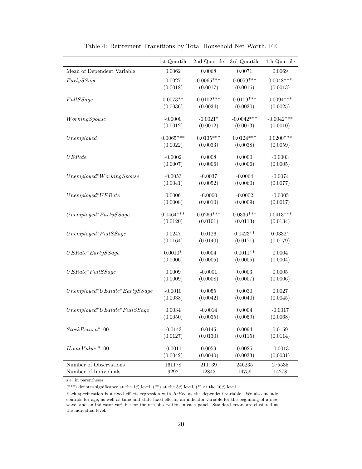|                                | 1st Quartile          | 2nd Quartile       | 3rd Quartile       | 4th Quartile          |
|--------------------------------|-----------------------|--------------------|--------------------|-----------------------|
|                                |                       |                    |                    |                       |
| Mean of Dependent Variable     | 0.0062                | 0.0068             | 0.0071             | 0.0069                |
| EarlyS8age                     | 0.0027                | $0.0065***$        | $0.0059***$        | $0.0048***$           |
|                                | (0.0018)              | (0.0017)           | (0.0016)           | (0.0013)              |
| FullSSage                      | $0.0073**$            | $0.0102***$        | $0.0109***$        | $0.0094***$           |
|                                | (0.0036)              | (0.0034)           | (0.0030)           | (0.0025)              |
|                                |                       |                    |                    |                       |
| WorkingSpouse                  | $-0.0000$             | $-0.0021*$         | $-0.0042***$       | $-0.0042***$          |
|                                | (0.0012)              | (0.0012)           | (0.0013)           | (0.0010)              |
| Unemployed                     | $0.0065***$           | $0.0135***$        | $0.0124***$        | $0.0200***$           |
|                                | (0.0022)              | (0.0033)           | (0.0038)           | (0.0059)              |
|                                |                       |                    |                    |                       |
| UERate                         | $-0.0002$<br>(0.0007) | 0.0008<br>(0.0006) | 0.0000<br>(0.0006) | $-0.0003$<br>(0.0005) |
|                                |                       |                    |                    |                       |
| $Unemployed*WorkingSpouse$     | $-0.0053$             | $-0.0037$          | $-0.0064$          | $-0.0074$             |
|                                | (0.0041)              | (0.0052)           | (0.0060)           | (0.0077)              |
| $Unemployed*UERate$            | 0.0006                | $-0.0000$          | $-0.0002$          | $-0.0005$             |
|                                | (0.0008)              | (0.0010)           | (0.0009)           | (0.0017)              |
|                                |                       |                    |                    |                       |
| $Unemployed*EarlySSage$        | $0.0464***$           | $0.0266***$        | $0.0336***$        | $0.0413***$           |
|                                | (0.0120)              | (0.0101)           | (0.0113)           | (0.0134)              |
| $Unemployed*FullSSage$         | 0.0247                | 0.0126             | $0.0423**$         | $0.0332*$             |
|                                | (0.0164)              | (0.0140)           | (0.0171)           | (0.0179)              |
|                                |                       |                    |                    |                       |
| $UERate*EarlySSage$            | $0.0010*$             | 0.0004             | $0.0011**$         | 0.0004                |
|                                | (0.0006)              | (0.0005)           | (0.0005)           | (0.0004)              |
| $UERate*FullSSage$             | 0.0009                | $-0.0001$          | 0.0003             | 0.0005                |
|                                | (0.0009)              | (0.0008)           | (0.0007)           | (0.0006)              |
|                                |                       |                    |                    |                       |
| $Unemployed*UERate*EarlySSage$ | $-0.0010$<br>(0.0038) | 0.0055<br>(0.0042) | 0.0030<br>(0.0040) | 0.0027<br>(0.0045)    |
|                                |                       |                    |                    |                       |
| $Unemployed*UERate*FullSSage$  | 0.0034                | $-0.0014$          | 0.0004             | $-0.0017$             |
|                                | (0.0050)              | (0.0035)           | (0.0059)           | (0.0068)              |
| $StockReturn*100$              | $-0.0143$             | $0.0145\,$         | 0.0094             | $0.0159\,$            |
|                                | (0.0127)              | (0.0130)           | (0.0115)           | (0.0114)              |
|                                |                       |                    |                    |                       |
| $HomeValue * 100$              | $-0.0011$             | 0.0059             | $\,0.0025\,$       | $-0.0013$             |
|                                | (0.0042)              | (0.0040)           | (0.0033)           | (0.0031)              |
| Number of Observations         | 161178                | 211739             | 246235             | 275535                |
| Number of Individuals          | 9292                  | 12842              | 14759              | 14278                 |

Table 4: Retirement Transitions by Total Household Net Worth, FE

(\*\*\*) denotes significance at the 1% level, (\*\*) at the 5% level, (\*) at the 10% level

Each specification is a fixed effects regression with Retire as the dependent variable. We also include controls for age, as well as time and state fixed effects, an indicator variable for the beginning of a new wave, and an indicator variable for the nth observation in each panel. Standard errors are clustered at the individual level.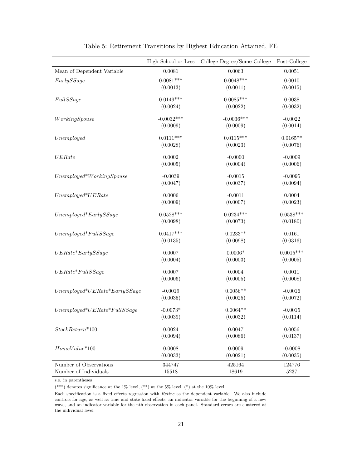|                                | High School or Less | College Degree/Some College | Post-College |
|--------------------------------|---------------------|-----------------------------|--------------|
| Mean of Dependent Variable     | 0.0081              | 0.0063                      | 0.0051       |
| EarlyS8age                     | $0.0081***$         | $0.0048***$                 | 0.0010       |
|                                | (0.0013)            | (0.0011)                    | (0.0015)     |
| FullSSage                      | $0.0149***$         | $0.0085***$                 | $\,0.0038\,$ |
|                                | (0.0024)            | (0.0022)                    | (0.0032)     |
| WorkingSpouse                  | $-0.0032***$        | $-0.0036***$                | $-0.0022$    |
|                                | (0.0009)            | (0.0009)                    | (0.0014)     |
| Unemployed                     | $0.0111***$         | $0.0115***$                 | $0.0165**$   |
|                                | (0.0028)            | (0.0023)                    | (0.0076)     |
| UERate                         | 0.0002              | $-0.0000$                   | $-0.0009$    |
|                                | (0.0005)            | (0.0004)                    | (0.0006)     |
| $Unemployed*WorkingSpouse$     | $-0.0039$           | $-0.0015$                   | $-0.0095$    |
|                                | (0.0047)            | (0.0037)                    | (0.0094)     |
| $Unemployed*UERate$            | 0.0006              | $-0.0011$                   | 0.0004       |
|                                | (0.0009)            | (0.0007)                    | (0.0023)     |
| $Unemployed*EarlySSage$        | $0.0528***$         | $0.0234***$                 | $0.0538***$  |
|                                | (0.0098)            | (0.0073)                    | (0.0180)     |
| $Unemployed*FullSSage$         | $0.0417***$         | $0.0233**$                  | 0.0161       |
|                                | (0.0135)            | (0.0098)                    | (0.0316)     |
| $UERate*EarlySSage$            | 0.0007              | $0.0006*$                   | $0.0015***$  |
|                                | (0.0004)            | (0.0003)                    | (0.0005)     |
| $UERate*FullSSage$             | 0.0007              | 0.0004                      | 0.0011       |
|                                | (0.0006)            | (0.0005)                    | (0.0008)     |
| $Unemployed*UERate*EarlySSage$ | $-0.0019$           | $0.0056**$                  | $-0.0016$    |
|                                | (0.0035)            | (0.0025)                    | (0.0072)     |
| $Unemployed*UERate*FullSSage$  | $-0.0073*$          | $0.0064**$                  | $-0.0015$    |
|                                | (0.0039)            | (0.0032)                    | (0.0114)     |
| $StockReturn*100$              | 0.0024              | 0.0047                      | 0.0056       |
|                                | (0.0094)            | (0.0086)                    | (0.0137)     |
| $HomeValue*100$                | 0.0008              | 0.0009                      | $-0.0008$    |
|                                | (0.0033)            | (0.0021)                    | (0.0035)     |
| Number of Observations         | 344747              | 425164                      | 124776       |
| Number of Individuals          | 15518               | 18619                       | $5237\,$     |

Table 5: Retirement Transitions by Highest Education Attained, FE

(\*\*\*) denotes significance at the 1% level, (\*\*) at the 5% level, (\*) at the 10% level

Each specification is a fixed effects regression with Retire as the dependent variable. We also include controls for age, as well as time and state fixed effects, an indicator variable for the beginning of a new wave, and an indicator variable for the nth observation in each panel. Standard errors are clustered at the individual level.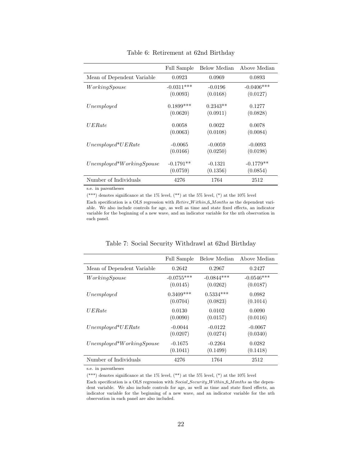|                            | Full Sample  | Below Median | Above Median |
|----------------------------|--------------|--------------|--------------|
| Mean of Dependent Variable | 0.0923       | 0.0969       | 0.0893       |
| WorkingSpouse              | $-0.0311***$ | $-0.0196$    | $-0.0406***$ |
|                            | (0.0093)     | (0.0168)     | (0.0127)     |
| Unemployed                 | $0.1899***$  | $0.2343**$   | 0.1277       |
|                            | (0.0620)     | (0.0911)     | (0.0828)     |
| UERate                     | 0.0058       | 0.0022       | 0.0078       |
|                            | (0.0063)     | (0.0108)     | (0.0084)     |
| $Unemployed*UERate$        | $-0.0065$    | $-0.0059$    | $-0.0093$    |
|                            | (0.0166)     | (0.0250)     | (0.0198)     |
| $Unemployed*WorkingSpouse$ | $-0.1791**$  | $-0.1321$    | $-0.1779**$  |
|                            | (0.0759)     | (0.1356)     | (0.0854)     |
| Number of Individuals      | 4276         | 1764         | 2512         |

Table 6: Retirement at 62nd Birthday

(\*\*\*) denotes significance at the 1% level, (\*\*) at the 5% level, (\*) at the 10% level

Each specification is a OLS regression with  $Retire\_Within\_6\_Months$  as the dependent variable. We also include controls for age, as well as time and state fixed effects, an indicator variable for the beginning of a new wave, and an indicator variable for the nth observation in each panel.

|                            | <b>Full Sample</b> | Below Median | Above Median |
|----------------------------|--------------------|--------------|--------------|
| Mean of Dependent Variable | 0.2642             | 0.2967       | 0.2427       |
| WorkingSpouse              | $-0.0755***$       | $-0.0844***$ | $-0.0546***$ |
|                            | (0.0145)           | (0.0262)     | (0.0187)     |
| Unemployed                 | $0.3409***$        | $0.5334***$  | 0.0982       |
|                            | (0.0704)           | (0.0823)     | (0.1014)     |
| U E Rate                   | 0.0130             | 0.0102       | 0.0090       |
|                            | (0.0090)           | (0.0157)     | (0.0116)     |
| $Unemployed*UERate$        | $-0.0044$          | $-0.0122$    | $-0.0067$    |
|                            | (0.0207)           | (0.0274)     | (0.0340)     |
| $Unemployed*WorkingSpouse$ | $-0.1675$          | $-0.2264$    | 0.0282       |
|                            | (0.1041)           | (0.1499)     | (0.1418)     |
| Number of Individuals      | 4276               | 1764         | 2512         |

Table 7: Social Security Withdrawl at 62nd Birthday

s.e. in parentheses

(\*\*\*) denotes significance at the 1% level, (\*\*) at the 5% level, (\*) at the 10% level

Each specification is a OLS regression with Social Security W ithin 6 Months as the dependent variable. We also include controls for age, as well as time and state fixed effects, an indicator variable for the beginning of a new wave, and an indicator variable for the nth observation in each panel are also included.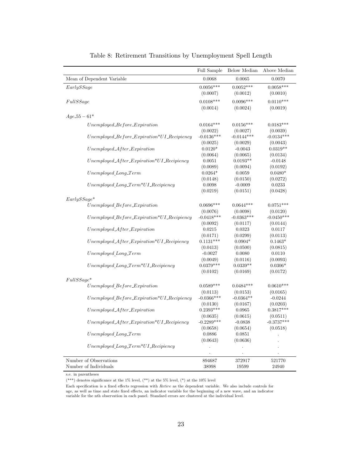|                                                                                  | Full Sample  | Below Median | Above Median |
|----------------------------------------------------------------------------------|--------------|--------------|--------------|
| Mean of Dependent Variable                                                       | 0.0068       | 0.0065       | 0.0070       |
| EarlyS8age                                                                       | $0.0056***$  | $0.0052***$  | $0.0058***$  |
|                                                                                  | (0.0007)     | (0.0012)     | (0.0010)     |
| FullSSage                                                                        | $0.0108***$  | $0.0096***$  | $0.0110***$  |
|                                                                                  | (0.0014)     | (0.0024)     | (0.0019)     |
| $Age\_55 - 61*$                                                                  |              |              |              |
|                                                                                  |              |              |              |
| $Unemployed_Before_{\mathcal{L}}$                                                | $0.0164***$  | $0.0156***$  | $0.0183***$  |
|                                                                                  | (0.0022)     | (0.0027)     | (0.0039)     |
| $Unemployed\_Before\_Expiration*UI\_Review$                                      | $-0.0136***$ | $-0.0144***$ | $-0.0134***$ |
|                                                                                  | (0.0025)     | (0.0029)     | (0.0043)     |
| $Unemployed\_After\_Expiration$                                                  | $0.0120*$    | $-0.0043$    | $0.0319**$   |
|                                                                                  | (0.0064)     | (0.0065)     | (0.0134)     |
| $Unemployed\_After_{Expiration}*UI_{.} Review$                                   | 0.0051       | $0.0193**$   | $-0.0148$    |
|                                                                                  | (0.0089)     | (0.0094)     | (0.0192)     |
| $Unemployed\_Long-Term$                                                          | $0.0264*$    | 0.0059       | $0.0480*$    |
|                                                                                  | (0.0148)     | (0.0150)     | (0.0272)     |
| $Unemployed\_Long\_Term*UI\_Review$                                              | 0.0098       | $-0.0009$    | 0.0233       |
|                                                                                  | (0.0219)     | (0.0151)     | (0.0428)     |
| $EarlySSage*$                                                                    |              |              |              |
| Unemployed Before_Expiration                                                     | $0.0696***$  | $0.0644***$  | $0.0751***$  |
|                                                                                  | (0.0076)     | (0.0098)     | (0.0120)     |
| $Unemployed$ $Before$ <i>Expiration</i> <sup>*</sup> $UI$ <sub>-Recipiency</sub> | $-0.0418***$ | $-0.0363***$ | $-0.0450***$ |
|                                                                                  | (0.0092)     | (0.0117)     | (0.0144)     |
| $Unemployed\_After\_Experimention$                                               | 0.0215       | 0.0323       | 0.0117       |
|                                                                                  | (0.0171)     | (0.0299)     | (0.0113)     |
| $Unemployed\_After_{Expiration}*UI_{.} Review$                                   | $0.1131***$  | $0.0904*$    | $0.1463*$    |
|                                                                                  | (0.0413)     | (0.0500)     | (0.0815)     |
| $Unemployed\_Long-Term$                                                          | $-0.0027$    | 0.0080       | 0.0110       |
|                                                                                  | (0.0049)     | (0.0116)     | (0.0093)     |
| $Unemployed\_Long\_Term*UI\_Review$                                              | $0.0379***$  | $0.0339**$   | $0.0306*$    |
|                                                                                  | (0.0102)     | (0.0169)     | (0.0172)     |
| $FullSSage*$                                                                     |              |              |              |
| Unemployed Before_Expiration                                                     | $0.0589***$  | $0.0484***$  | $0.0610***$  |
|                                                                                  | (0.0113)     | (0.0153)     | (0.0165)     |
| $Unemployed_Before\_Experimention*UI\_Review$                                    | $-0.0366***$ | $-0.0364**$  | $-0.0244$    |
|                                                                                  | (0.0130)     | (0.0167)     | (0.0203)     |
| $Unemployed\_After_{Expiration}$                                                 | $0.2393***$  | 0.0965       | $0.3817***$  |
|                                                                                  | (0.0635)     | (0.0615)     | (0.0511)     |
| $Unemployed\_After\_Experimention*UI\_Review$                                    | $-0.2289***$ | $-0.0838$    | $-0.3737***$ |
|                                                                                  | (0.0658)     | (0.0654)     | (0.0518)     |
| $Unemployed\_Long-Term$                                                          | 0.0886       | 0.0851       |              |
|                                                                                  | (0.0643)     | (0.0636)     |              |
| $Unemployed\_Long\_Term*UI\_Review$                                              |              |              |              |
|                                                                                  |              |              |              |
| Number of Observations                                                           | 894687       | 372917       | 521770       |
| Number of Individuals                                                            | 38998        | 19599        | 24940        |

Table 8: Retirement Transitions by Unemployment Spell Length

(\*\*\*) denotes significance at the 1% level, (\*\*) at the 5% level, (\*) at the 10% level

Each specification is a fixed effects regression with Retire as the dependent variable. We also include controls for age, as well as time and state fixed effects, an indicator variable for the beginning of a new wave, and an indicator variable for the nth observation in each panel. Standard errors are clustered at the individual level.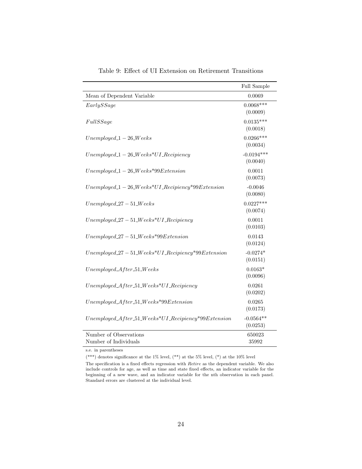|                                                                | Full Sample              |
|----------------------------------------------------------------|--------------------------|
| Mean of Dependent Variable                                     | 0.0069                   |
| EarlySSage                                                     | $0.0068***$<br>(0.0009)  |
| FullSSage                                                      | $0.0135***$<br>(0.0018)  |
| $Unemployed_1 - 26_We$ eks                                     | $0.0266***$<br>(0.0034)  |
| $Unemployed_1 - 26_ \textit{Weeks*UI} \textit{.} Review$       | $-0.0194***$<br>(0.0040) |
| $Unemployed_1 - 26_ \textit{Weeks*} 99 Extension$              | 0.0011<br>(0.0073)       |
| $Unemployed_1 - 26_W eeks*UI\_Review*99 Extension$             | $-0.0046$<br>(0.0080)    |
| $Unemployed_27-51_ \nWeeks$                                    | $0.0227***$<br>(0.0074)  |
| $Unemployed_27-51_ \nWeeks*UI_ \nReview$                       | 0.0011<br>(0.0103)       |
| $Unemployed_27-51_ \nWeeks*99 Extension$                       | 0.0143<br>(0.0124)       |
| $Unemployed_27-51_ \textit{Weeks*UI}$ . Recipiency*99Extension | $-0.0274*$<br>(0.0151)   |
| $Unemployed\_After\_51\_Weeks$                                 | $0.0163*$<br>(0.0096)    |
| $Unemployed\_After\_51\_Weeks*UI\_Review$                      | 0.0261<br>(0.0202)       |
| $Unemployed\_After\_51\_Weeks*99 Extension$                    | 0.0265<br>(0.0173)       |
| $Unemployed\_After\_51\_Weeks*UI\_Review*99Extension$          | $-0.0564**$<br>(0.0253)  |
| Number of Observations<br>Number of Individuals                | 650023<br>35992          |

Table 9: Effect of UI Extension on Retirement Transitions

(\*\*\*) denotes significance at the 1% level, (\*\*) at the 5% level, (\*) at the 10% level

The specification is a fixed effects regression with Retire as the dependent variable. We also include controls for age, as well as time and state fixed effects, an indicator variable for the beginning of a new wave, and an indicator variable for the nth observation in each panel. Standard errors are clustered at the individual level.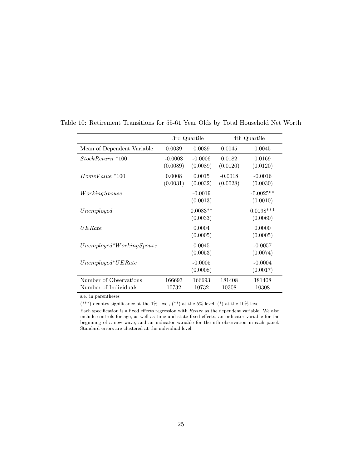|                                                 |                       | 3rd Quartile           |                       | 4th Quartile            |
|-------------------------------------------------|-----------------------|------------------------|-----------------------|-------------------------|
| Mean of Dependent Variable                      | 0.0039                | 0.0039                 | 0.0045                | 0.0045                  |
| StockReturn *100                                | $-0.0008$<br>(0.0089) | $-0.0006$<br>(0.0089)  | 0.0182<br>(0.0120)    | 0.0169<br>(0.0120)      |
| $HomeValue * 100$                               | 0.0008<br>(0.0031)    | 0.0015<br>(0.0032)     | $-0.0018$<br>(0.0028) | $-0.0016$<br>(0.0030)   |
| WorkingSpouse                                   |                       | $-0.0019$<br>(0.0013)  |                       | $-0.0025**$<br>(0.0010) |
| Unemployed                                      |                       | $0.0083**$<br>(0.0033) |                       | $0.0198***$<br>(0.0060) |
| UERate                                          |                       | 0.0004<br>(0.0005)     |                       | 0.0000<br>(0.0005)      |
| $Unemployed*WorkingSpouse$                      |                       | 0.0045<br>(0.0053)     |                       | $-0.0057$<br>(0.0074)   |
| $Unemployed*UERate$                             |                       | $-0.0005$<br>(0.0008)  |                       | $-0.0004$<br>(0.0017)   |
| Number of Observations<br>Number of Individuals | 166693<br>10732       | 166693<br>10732        | 181408<br>10308       | 181408<br>10308         |

Table 10: Retirement Transitions for 55-61 Year Olds by Total Household Net Worth

(\*\*\*) denotes significance at the 1% level, (\*\*) at the 5% level, (\*) at the 10% level

Each specification is a fixed effects regression with Retire as the dependent variable. We also include controls for age, as well as time and state fixed effects, an indicator variable for the beginning of a new wave, and an indicator variable for the nth observation in each panel. Standard errors are clustered at the individual level.